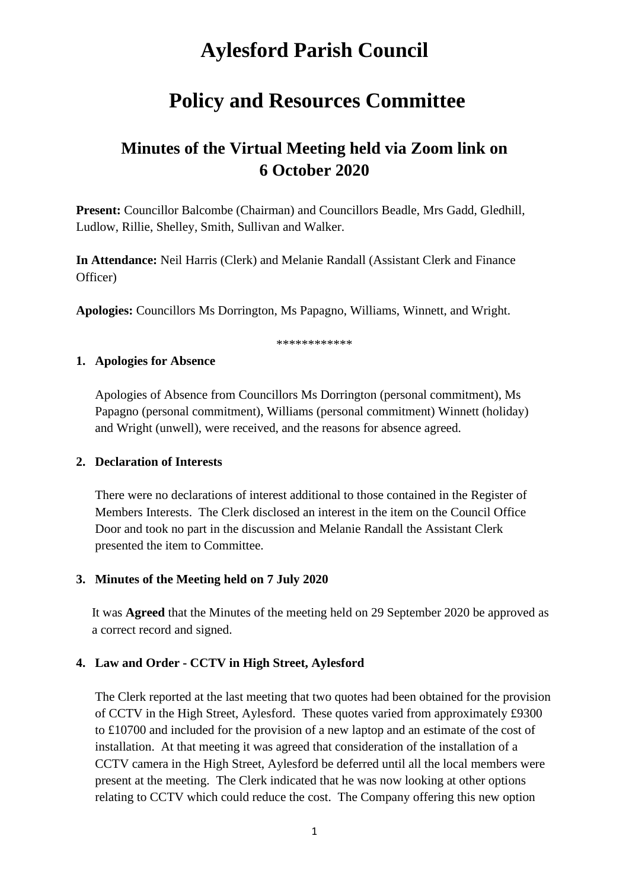# **Aylesford Parish Council**

## **Policy and Resources Committee**

## **Minutes of the Virtual Meeting held via Zoom link on 6 October 2020**

**Present:** Councillor Balcombe (Chairman) and Councillors Beadle, Mrs Gadd, Gledhill, Ludlow, Rillie, Shelley, Smith, Sullivan and Walker.

**In Attendance:** Neil Harris (Clerk) and Melanie Randall (Assistant Clerk and Finance Officer)

**Apologies:** Councillors Ms Dorrington, Ms Papagno, Williams, Winnett, and Wright.

\*\*\*\*\*\*\*\*\*\*\*\*

#### **1. Apologies for Absence**

Apologies of Absence from Councillors Ms Dorrington (personal commitment), Ms Papagno (personal commitment), Williams (personal commitment) Winnett (holiday) and Wright (unwell), were received, and the reasons for absence agreed.

#### **2. Declaration of Interests**

There were no declarations of interest additional to those contained in the Register of Members Interests. The Clerk disclosed an interest in the item on the Council Office Door and took no part in the discussion and Melanie Randall the Assistant Clerk presented the item to Committee.

## **3. Minutes of the Meeting held on 7 July 2020**

It was **Agreed** that the Minutes of the meeting held on 29 September 2020 be approved as a correct record and signed.

## **4. Law and Order - CCTV in High Street, Aylesford**

The Clerk reported at the last meeting that two quotes had been obtained for the provision of CCTV in the High Street, Aylesford. These quotes varied from approximately £9300 to £10700 and included for the provision of a new laptop and an estimate of the cost of installation. At that meeting it was agreed that consideration of the installation of a CCTV camera in the High Street, Aylesford be deferred until all the local members were present at the meeting. The Clerk indicated that he was now looking at other options relating to CCTV which could reduce the cost. The Company offering this new option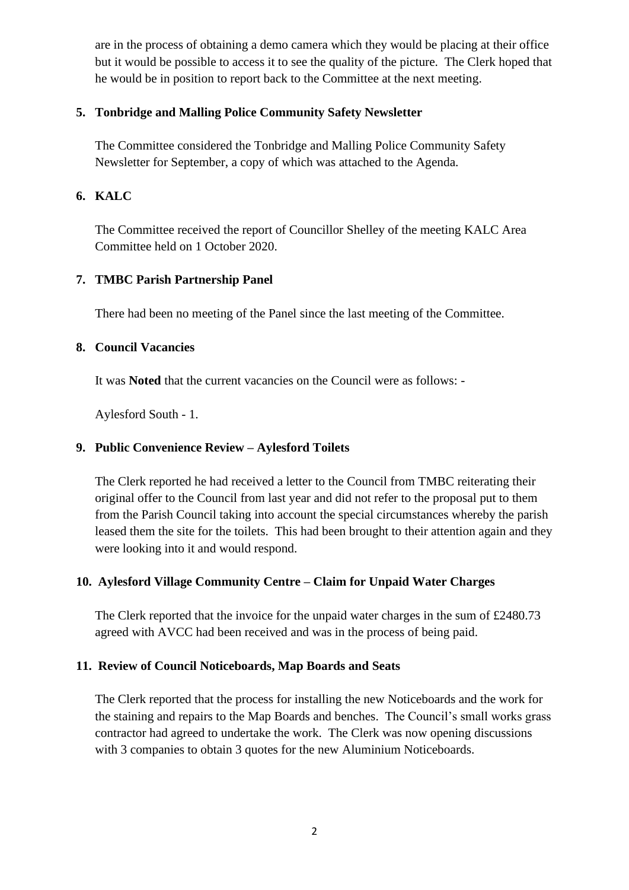are in the process of obtaining a demo camera which they would be placing at their office but it would be possible to access it to see the quality of the picture. The Clerk hoped that he would be in position to report back to the Committee at the next meeting.

## **5. Tonbridge and Malling Police Community Safety Newsletter**

The Committee considered the Tonbridge and Malling Police Community Safety Newsletter for September, a copy of which was attached to the Agenda.

## **6. KALC**

The Committee received the report of Councillor Shelley of the meeting KALC Area Committee held on 1 October 2020.

## **7. TMBC Parish Partnership Panel**

There had been no meeting of the Panel since the last meeting of the Committee.

## **8. Council Vacancies**

It was **Noted** that the current vacancies on the Council were as follows: -

Aylesford South - 1.

## **9. Public Convenience Review – Aylesford Toilets**

The Clerk reported he had received a letter to the Council from TMBC reiterating their original offer to the Council from last year and did not refer to the proposal put to them from the Parish Council taking into account the special circumstances whereby the parish leased them the site for the toilets. This had been brought to their attention again and they were looking into it and would respond.

## **10. Aylesford Village Community Centre – Claim for Unpaid Water Charges**

The Clerk reported that the invoice for the unpaid water charges in the sum of £2480.73 agreed with AVCC had been received and was in the process of being paid.

## **11. Review of Council Noticeboards, Map Boards and Seats**

The Clerk reported that the process for installing the new Noticeboards and the work for the staining and repairs to the Map Boards and benches. The Council's small works grass contractor had agreed to undertake the work. The Clerk was now opening discussions with 3 companies to obtain 3 quotes for the new Aluminium Noticeboards.